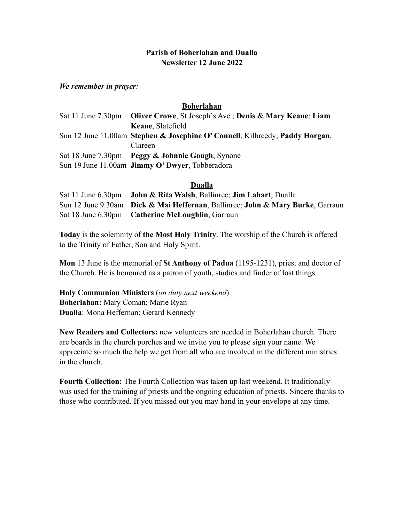## **Parish of Boherlahan and Dualla Newsletter 12 June 2022**

*We remember in prayer:* 

## **Boherlahan**

| Sat 11 June 7.30pm Oliver Crowe, St Joseph's Ave.; Denis & Mary Keane; Liam |
|-----------------------------------------------------------------------------|
| Keane, Slatefield                                                           |
| Sun 12 June 11.00am Stephen & Josephine O'Connell, Kilbreedy; Paddy Horgan, |
| Clareen                                                                     |
| Sat 18 June 7.30pm Peggy & Johnnie Gough, Synone                            |
| Sun 19 June 11.00am <b>Jimmy O'Dwyer</b> , Tobberadora                      |

## **Dualla**

| Sat 11 June 6.30pm John & Rita Walsh, Ballinree; Jim Lahart, Dualla            |
|--------------------------------------------------------------------------------|
| Sun 12 June 9.30am Dick & Mai Heffernan, Ballinree; John & Mary Burke, Garraun |
| Sat 18 June 6.30pm Catherine McLoughlin, Garraun                               |

**Today** is the solemnity of **the Most Holy Trinity**. The worship of the Church is offered to the Trinity of Father, Son and Holy Spirit.

**Mon** 13 June is the memorial of **St Anthony of Padua** (1195-1231), priest and doctor of the Church. He is honoured as a patron of youth, studies and finder of lost things.

**Holy Communion Ministers** (*on duty next weekend*) **Boherlahan:** Mary Coman; Marie Ryan **Dualla**: Mona Heffernan; Gerard Kennedy

**New Readers and Collectors:** new volunteers are needed in Boherlahan church. There are boards in the church porches and we invite you to please sign your name. We appreciate so much the help we get from all who are involved in the different ministries in the church.

**Fourth Collection:** The Fourth Collection was taken up last weekend. It traditionally was used for the training of priests and the ongoing education of priests. Sincere thanks to those who contributed. If you missed out you may hand in your envelope at any time.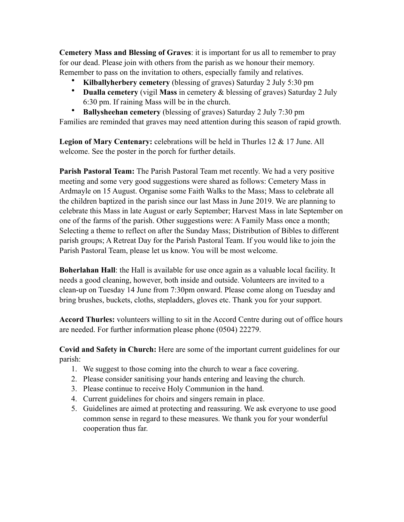**Cemetery Mass and Blessing of Graves**: it is important for us all to remember to pray for our dead. Please join with others from the parish as we honour their memory. Remember to pass on the invitation to others, especially family and relatives.

- **Kilballyherbery cemetery** (blessing of graves) Saturday 2 July 5:30 pm
- **Dualla cemetery** (vigil **Mass** in cemetery & blessing of graves) Saturday 2 July 6:30 pm. If raining Mass will be in the church.
- **Ballysheehan cemetery** (blessing of graves) Saturday 2 July 7:30 pm

Families are reminded that graves may need attention during this season of rapid growth.

**Legion of Mary Centenary:** celebrations will be held in Thurles 12 & 17 June. All welcome. See the poster in the porch for further details.

**Parish Pastoral Team:** The Parish Pastoral Team met recently. We had a very positive meeting and some very good suggestions were shared as follows: Cemetery Mass in Ardmayle on 15 August. Organise some Faith Walks to the Mass; Mass to celebrate all the children baptized in the parish since our last Mass in June 2019. We are planning to celebrate this Mass in late August or early September; Harvest Mass in late September on one of the farms of the parish. Other suggestions were: A Family Mass once a month; Selecting a theme to reflect on after the Sunday Mass; Distribution of Bibles to different parish groups; A Retreat Day for the Parish Pastoral Team. If you would like to join the Parish Pastoral Team, please let us know. You will be most welcome.

**Boherlahan Hall**: the Hall is available for use once again as a valuable local facility. It needs a good cleaning, however, both inside and outside. Volunteers are invited to a clean-up on Tuesday 14 June from 7:30pm onward. Please come along on Tuesday and bring brushes, buckets, cloths, stepladders, gloves etc. Thank you for your support.

**Accord Thurles:** volunteers willing to sit in the Accord Centre during out of office hours are needed. For further information please phone (0504) 22279.

**Covid and Safety in Church:** Here are some of the important current guidelines for our parish:

- 1. We suggest to those coming into the church to wear a face covering.
- 2. Please consider sanitising your hands entering and leaving the church.
- 3. Please continue to receive Holy Communion in the hand.
- 4. Current guidelines for choirs and singers remain in place.
- 5. Guidelines are aimed at protecting and reassuring. We ask everyone to use good common sense in regard to these measures. We thank you for your wonderful cooperation thus far.